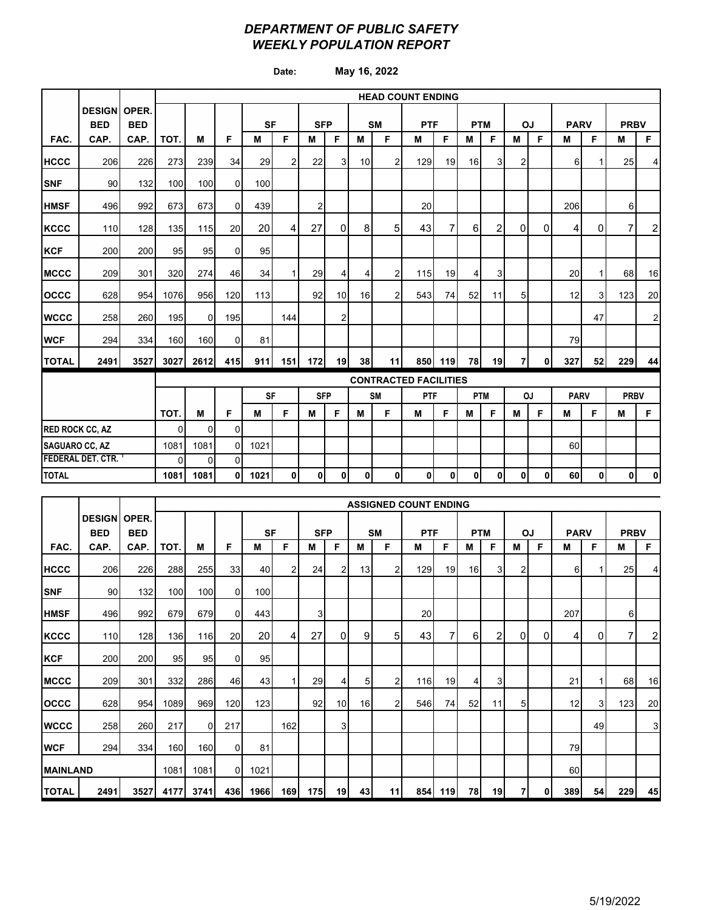### *DEPARTMENT OF PUBLIC SAFETY WEEKLY POPULATION REPORT*

**Date: May 16, 2022**

|                            |                                   |            |          | <b>HEAD COUNT ENDING</b> |                |           |                |            |                |                 |                |                              |         |            |                 |                |              |             |              |             |                |
|----------------------------|-----------------------------------|------------|----------|--------------------------|----------------|-----------|----------------|------------|----------------|-----------------|----------------|------------------------------|---------|------------|-----------------|----------------|--------------|-------------|--------------|-------------|----------------|
|                            | <b>DESIGN OPER.</b><br><b>BED</b> | <b>BED</b> |          |                          |                | <b>SF</b> |                | <b>SFP</b> |                |                 | <b>SM</b>      | <b>PTF</b>                   |         | <b>PTM</b> |                 | <b>OJ</b>      |              | <b>PARV</b> |              | <b>PRBV</b> |                |
| FAC.                       | CAP.                              | CAP.       | TOT.     | м                        | F              | M         | F              | M          | F              | M               | F.             | M                            | F       | M          | F               | м              | F            | M           | F            | М           | F              |
| <b>IHCCC</b>               | 206                               | 226        | 273      | 239                      | 34             | 29        | $\overline{2}$ | 22         | $\overline{3}$ | 10 <sup>1</sup> | $\overline{2}$ | 129                          | 19      | 16         | 3 <sup>1</sup>  | 2              |              | 6           |              | 25          | $\overline{4}$ |
| <b>SNF</b>                 | 90                                | 132        | 100      | 100                      | $\overline{0}$ | 100       |                |            |                |                 |                |                              |         |            |                 |                |              |             |              |             |                |
| <b>HMSF</b>                | 496                               | 992        | 673      | 673                      | $\Omega$       | 439       |                | 2          |                |                 |                | 20                           |         |            |                 |                |              | 206         |              | 6           |                |
| <b>KCCC</b>                | 110                               | 128        | 135      | 115                      | 20             | 20        | 4              | 27         | $\mathbf 0$    | 8               | 5              | 43                           | 7       | 6          | $\overline{2}$  | $\Omega$       | $\mathbf{0}$ | 4           | $\mathbf{0}$ | 7           | 2              |
| <b>KCF</b>                 | 200                               | 200        | 95       | 95                       | $\Omega$       | 95        |                |            |                |                 |                |                              |         |            |                 |                |              |             |              |             |                |
| <b>MCCC</b>                | 209                               | 301        | 320      | 274                      | 46             | 34        | $\mathbf{1}$   | 29         | 4              | 4               | $\overline{2}$ | 115                          | 19      | 4          | 3               |                |              | 20          |              | 68          | 16             |
| <b>OCCC</b>                | 628                               | 954        | 1076     | 956                      | 120            | 113       |                | 92         | 10             | 16 <sup>1</sup> | 2              | 543                          | 74      | 52         | 11              | 5              |              | 12          | 3            | 123         | 20             |
| <b>WCCC</b>                | 258                               | 260        | 195      | $\Omega$                 | 195            |           | 144            |            | 2              |                 |                |                              |         |            |                 |                |              |             | 47           |             | 2              |
| <b>WCF</b>                 | 294                               | 334        | 160      | 160                      | $\overline{0}$ | 81        |                |            |                |                 |                |                              |         |            |                 |                |              | 79          |              |             |                |
| <b>TOTAL</b>               | 2491                              | 3527       | 3027     | 2612                     | 415            | 911       | 151            | 172        | 19             | 38 <sup>1</sup> | 11             |                              | 850 119 | 78         | 19 <sup>1</sup> | $\overline{7}$ | $\mathbf{0}$ | 327         | 52           | 229         | 44             |
|                            |                                   |            |          |                          |                |           |                |            |                |                 |                | <b>CONTRACTED FACILITIES</b> |         |            |                 |                |              |             |              |             |                |
|                            |                                   |            |          |                          |                | <b>SF</b> |                | <b>SFP</b> |                |                 | <b>SM</b>      | PTF                          |         |            | <b>PTM</b>      |                | OJ           | <b>PARV</b> |              | <b>PRBV</b> |                |
|                            |                                   |            | TOT.     | M                        | F              | M         | F              | M          | F              | M               | F              | M                            | F       | M          | F               | м              | F            | M           | F            | M           | F              |
| <b>RED ROCK CC, AZ</b>     |                                   |            | $\Omega$ | $\Omega$                 | $\Omega$       |           |                |            |                |                 |                |                              |         |            |                 |                |              |             |              |             |                |
| <b>SAGUARO CC, AZ</b>      |                                   |            | 1081     | 1081                     | 0              | 1021      |                |            |                |                 |                |                              |         |            |                 |                |              | 60          |              |             |                |
| <b>FEDERAL DET. CTR. 1</b> |                                   |            | $\Omega$ | $\Omega$                 | $\Omega$       |           |                |            |                |                 |                |                              |         |            |                 |                |              |             |              |             |                |
| <b>TOTAL</b>               |                                   |            | 1081     | 1081                     | 0              | 1021      | $\pmb{0}$      | 0          | 0              | 0               | 0              | 0                            | 0       | 0          | $\mathbf{0}$    | 0              | 0            | 60          | 0            | 0           | 0              |

|                 |                     |            | <b>ASSIGNED COUNT ENDING</b> |          |                |                  |     |            |    |    |           |            |     |            |                |                |           |             |                |              |    |
|-----------------|---------------------|------------|------------------------------|----------|----------------|------------------|-----|------------|----|----|-----------|------------|-----|------------|----------------|----------------|-----------|-------------|----------------|--------------|----|
|                 | <b>DESIGN OPER.</b> |            |                              |          |                |                  |     |            |    |    |           |            |     |            |                |                |           |             |                |              |    |
|                 | <b>BED</b>          | <b>BED</b> |                              |          |                | <b>SF</b>        |     | <b>SFP</b> |    |    | <b>SM</b> | <b>PTF</b> |     | <b>PTM</b> |                |                | <b>OJ</b> | <b>PARV</b> |                | <b>PRBV</b>  |    |
| FAC.            | CAP.                | CAP.       | TOT.                         | м        | F              | м                | F   | м          | F  | М  | F         | м          | F   | м          | F              | м              | F         | М           | F              | м            | F  |
| <b>HCCC</b>     | 206                 | 226        | 288                          | 255      | 33             | 40               | 2   | 24         | 2  | 13 | 2         | 129        | 19  | 16         | 3 <sub>1</sub> | 2              |           | 6           |                | 25           | 4  |
| <b>SNF</b>      | 90                  | 132        | 100                          | 100      | $\Omega$       | 100 <sup>1</sup> |     |            |    |    |           |            |     |            |                |                |           |             |                |              |    |
| <b>HMSF</b>     | 496                 | 992        | 679                          | 679      | $\overline{0}$ | 443              |     | 3          |    |    |           | 20         |     |            |                |                |           | 207         |                | 6            |    |
| <b>KCCC</b>     | 110                 | 128        | 136                          | 116      | 20             | 20               | 4   | 27         | 0  | 9  | 5         | 43         | 7   | 6          | 2              | $\overline{0}$ | 0         | 4           | 0              | $\mathbf{7}$ | 2  |
| <b>KCF</b>      | 200                 | 200        | 95                           | 95       | 0              | 95               |     |            |    |    |           |            |     |            |                |                |           |             |                |              |    |
| <b>MCCC</b>     | 209                 | 301        | 332                          | 286      | 46             | 43 <sub>l</sub>  |     | 29         | 4  | 5  | 2         | 116        | 19  | 4          | 3              |                |           | 21          |                | 68           | 16 |
| <b>OCCC</b>     | 628                 | 954        | 1089                         | 969      | 120            | 123              |     | 92         | 10 | 16 | 2         | 546        | 74  | 52         | 11             | 5              |           | 12          | $\overline{3}$ | 123          | 20 |
| <b>WCCC</b>     | 258                 | 260        | 217                          | $\Omega$ | 217            |                  | 162 |            | 3  |    |           |            |     |            |                |                |           |             | 49             |              | 3  |
| <b>WCF</b>      | 294                 | 334        | 160                          | 160      | 0              | 81               |     |            |    |    |           |            |     |            |                |                |           | 79          |                |              |    |
| <b>MAINLAND</b> |                     |            | 1081                         | 1081     | $\Omega$       | 1021             |     |            |    |    |           |            |     |            |                |                |           | 60          |                |              |    |
| <b>TOTAL</b>    | 2491                | 3527       | 4177                         | 3741     | 436            | 1966             | 169 | 175        | 19 | 43 | 11        | 854        | 119 | 78         | 19             | $\overline{7}$ | 0         | 389         | 54             | 229          | 45 |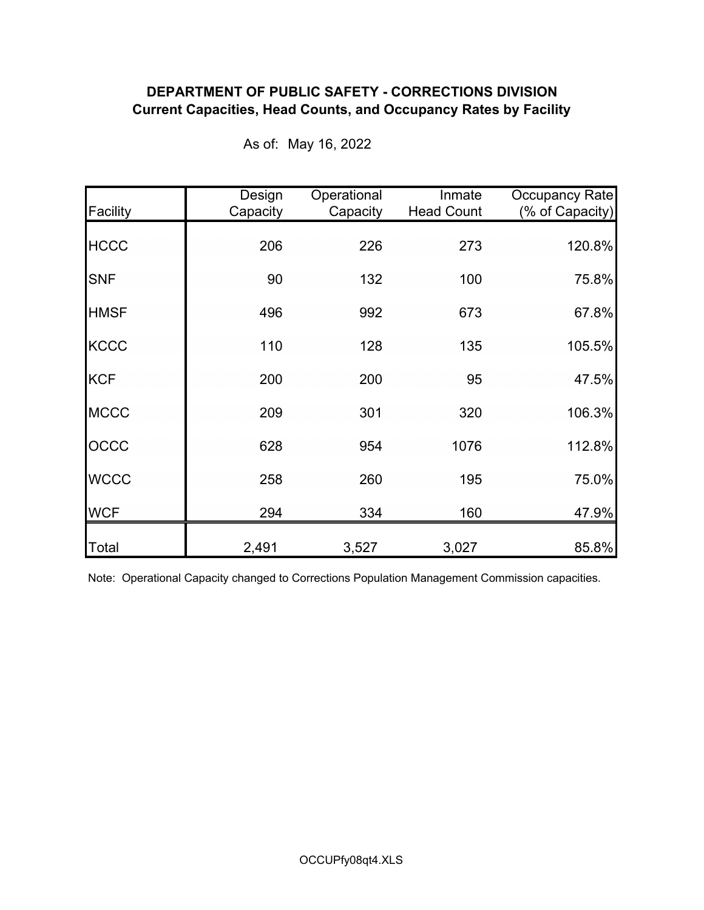## **DEPARTMENT OF PUBLIC SAFETY - CORRECTIONS DIVISION Current Capacities, Head Counts, and Occupancy Rates by Facility**

| Facility    | Design<br>Capacity | Operational<br>Capacity | Inmate<br><b>Head Count</b> | Occupancy Rate<br>(% of Capacity) |
|-------------|--------------------|-------------------------|-----------------------------|-----------------------------------|
| <b>HCCC</b> | 206                | 226                     | 273                         | 120.8%                            |
| <b>SNF</b>  | 90                 | 132                     | 100                         | 75.8%                             |
| <b>HMSF</b> | 496                | 992                     | 673                         | 67.8%                             |
| <b>KCCC</b> | 110                | 128                     | 135                         | 105.5%                            |
| <b>KCF</b>  | 200                | 200                     | 95                          | 47.5%                             |
| <b>MCCC</b> | 209                | 301                     | 320                         | 106.3%                            |
| OCCC        | 628                | 954                     | 1076                        | 112.8%                            |
| <b>WCCC</b> | 258                | 260                     | 195                         | 75.0%                             |
| <b>WCF</b>  | 294                | 334                     | 160                         | 47.9%                             |
| Total       | 2,491              | 3,527                   | 3,027                       | 85.8%                             |

As of: May 16, 2022

Note: Operational Capacity changed to Corrections Population Management Commission capacities.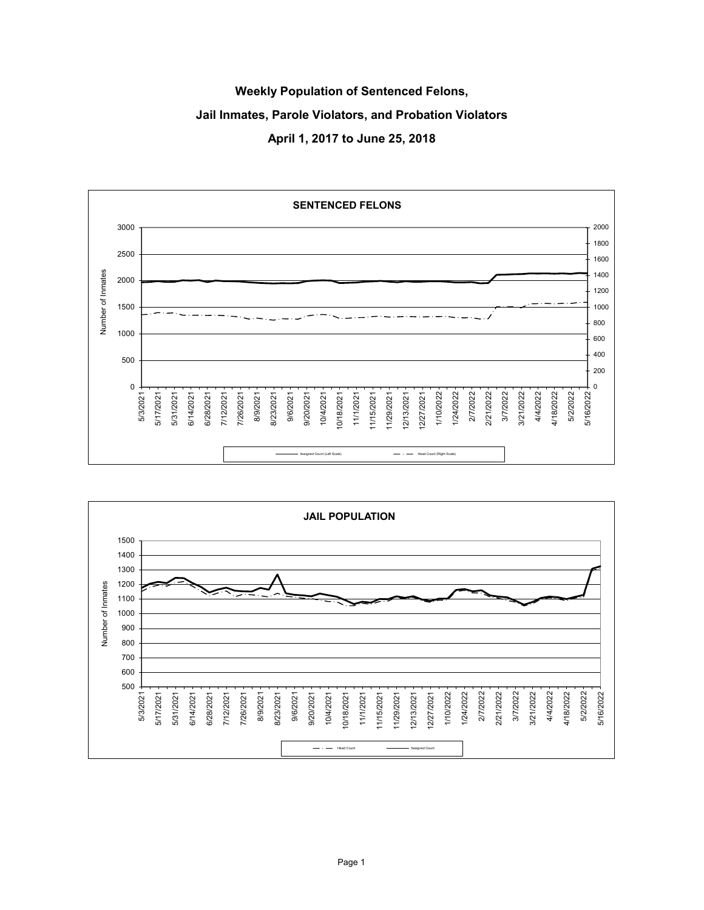# **Weekly Population of Sentenced Felons, Jail Inmates, Parole Violators, and Probation Violators April 1, 2017 to June 25, 2018**